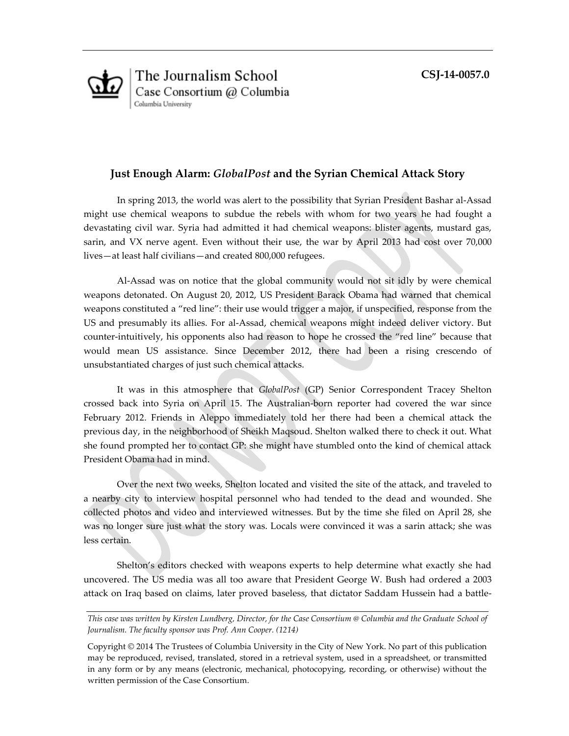**CSJ-14-0057.0**



# **Just Enough Alarm:** *GlobalPost* **and the Syrian Chemical Attack Story**

In spring 2013, the world was alert to the possibility that Syrian President Bashar al-Assad might use chemical weapons to subdue the rebels with whom for two years he had fought a devastating civil war. Syria had admitted it had chemical weapons: blister agents, mustard gas, sarin, and VX nerve agent. Even without their use, the war by April 2013 had cost over 70,000 lives—at least half civilians—and created 800,000 refugees.

Al-Assad was on notice that the global community would not sit idly by were chemical weapons detonated. On August 20, 2012, US President Barack Obama had warned that chemical weapons constituted a "red line": their use would trigger a major, if unspecified, response from the US and presumably its allies. For al-Assad, chemical weapons might indeed deliver victory. But counter-intuitively, his opponents also had reason to hope he crossed the "red line" because that would mean US assistance. Since December 2012, there had been a rising crescendo of unsubstantiated charges of just such chemical attacks.

It was in this atmosphere that *GlobalPost* (GP) Senior Correspondent Tracey Shelton crossed back into Syria on April 15. The Australian-born reporter had covered the war since February 2012. Friends in Aleppo immediately told her there had been a chemical attack the previous day, in the neighborhood of Sheikh Maqsoud. Shelton walked there to check it out. What she found prompted her to contact GP: she might have stumbled onto the kind of chemical attack President Obama had in mind.

Over the next two weeks, Shelton located and visited the site of the attack, and traveled to a nearby city to interview hospital personnel who had tended to the dead and wounded. She collected photos and video and interviewed witnesses. But by the time she filed on April 28, she was no longer sure just what the story was. Locals were convinced it was a sarin attack; she was less certain.

Shelton's editors checked with weapons experts to help determine what exactly she had uncovered. The US media was all too aware that President George W. Bush had ordered a 2003 attack on Iraq based on claims, later proved baseless, that dictator Saddam Hussein had a battle-

*This case was written by Kirsten Lundberg, Director, for the Case Consortium @ Columbia and the Graduate School of Journalism. The faculty sponsor was Prof. Ann Cooper. (1214)*

Copyright © 2014 The Trustees of Columbia University in the City of New York. No part of this publication may be reproduced, revised, translated, stored in a retrieval system, used in a spreadsheet, or transmitted in any form or by any means (electronic, mechanical, photocopying, recording, or otherwise) without the written permission of the Case Consortium.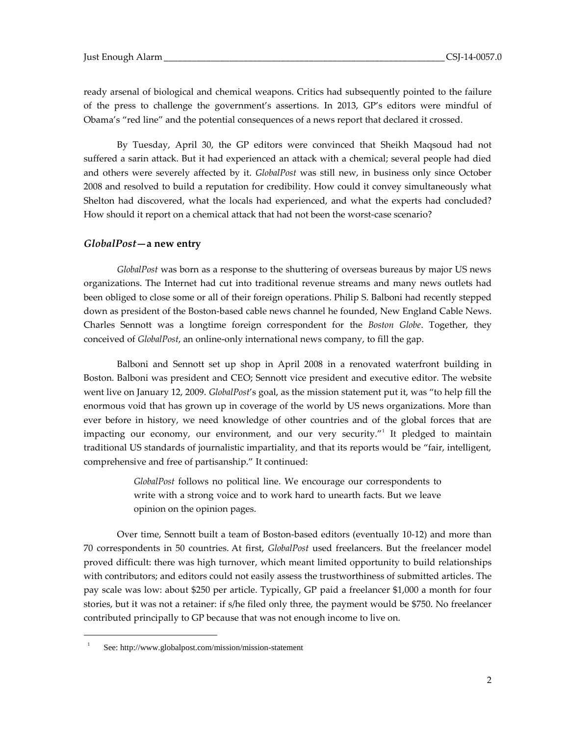ready arsenal of biological and chemical weapons. Critics had subsequently pointed to the failure of the press to challenge the government's assertions. In 2013, GP's editors were mindful of Obama's "red line" and the potential consequences of a news report that declared it crossed.

By Tuesday, April 30, the GP editors were convinced that Sheikh Maqsoud had not suffered a sarin attack. But it had experienced an attack with a chemical; several people had died and others were severely affected by it. *GlobalPost* was still new, in business only since October 2008 and resolved to build a reputation for credibility. How could it convey simultaneously what Shelton had discovered, what the locals had experienced, and what the experts had concluded? How should it report on a chemical attack that had not been the worst-case scenario?

#### *GlobalPost***—a new entry**

*GlobalPost* was born as a response to the shuttering of overseas bureaus by major US news organizations. The Internet had cut into traditional revenue streams and many news outlets had been obliged to close some or all of their foreign operations. Philip S. Balboni had recently stepped down as president of the Boston-based cable news channel he founded, New England Cable News. Charles Sennott was a longtime foreign correspondent for the *Boston Globe*. Together, they conceived of *GlobalPost*, an online-only international news company, to fill the gap.

Balboni and Sennott set up shop in April 2008 in a renovated waterfront building in Boston. Balboni was president and CEO; Sennott vice president and executive editor. The website went live on January 12, 2009. *GlobalPost*'s goal, as the mission statement put it, was "to help fill the enormous void that has grown up in coverage of the world by US news organizations. More than ever before in history, we need knowledge of other countries and of the global forces that are impacting our economy, our environment, and our very security."<sup>1</sup> It pledged to maintain traditional US standards of journalistic impartiality, and that its reports would be "fair, intelligent, comprehensive and free of partisanship." It continued:

> *GlobalPost* follows no political line. We encourage our correspondents to write with a strong voice and to work hard to unearth facts. But we leave opinion on the opinion pages.

Over time, Sennott built a team of Boston-based editors (eventually 10-12) and more than 70 correspondents in 50 countries. At first, *GlobalPost* used freelancers. But the freelancer model proved difficult: there was high turnover, which meant limited opportunity to build relationships with contributors; and editors could not easily assess the trustworthiness of submitted articles. The pay scale was low: about \$250 per article. Typically, GP paid a freelancer \$1,000 a month for four stories, but it was not a retainer: if s/he filed only three, the payment would be \$750. No freelancer contributed principally to GP because that was not enough income to live on.

<sup>1</sup> See: http://www.globalpost.com/mission/mission-statement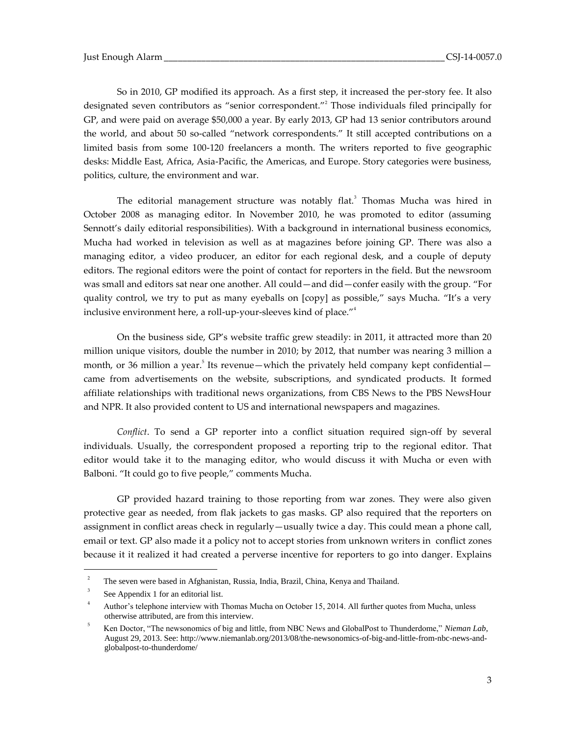So in 2010, GP modified its approach. As a first step, it increased the per-story fee. It also designated seven contributors as "senior correspondent."<sup>2</sup> Those individuals filed principally for GP, and were paid on average \$50,000 a year. By early 2013, GP had 13 senior contributors around the world, and about 50 so-called "network correspondents." It still accepted contributions on a limited basis from some 100-120 freelancers a month. The writers reported to five geographic desks: Middle East, Africa, Asia-Pacific, the Americas, and Europe. Story categories were business, politics, culture, the environment and war.

The editorial management structure was notably flat.<sup>3</sup> Thomas Mucha was hired in October 2008 as managing editor. In November 2010, he was promoted to editor (assuming Sennott's daily editorial responsibilities). With a background in international business economics, Mucha had worked in television as well as at magazines before joining GP. There was also a managing editor, a video producer, an editor for each regional desk, and a couple of deputy editors. The regional editors were the point of contact for reporters in the field. But the newsroom was small and editors sat near one another. All could—and did—confer easily with the group. "For quality control, we try to put as many eyeballs on [copy] as possible," says Mucha. "It's a very inclusive environment here, a roll-up-your-sleeves kind of place."<sup>4</sup>

On the business side, GP's website traffic grew steadily: in 2011, it attracted more than 20 million unique visitors, double the number in 2010; by 2012, that number was nearing 3 million a month, or 36 million a year.<sup>5</sup> Its revenue—which the privately held company kept confidential came from advertisements on the website, subscriptions, and syndicated products. It formed affiliate relationships with traditional news organizations, from CBS News to the PBS NewsHour and NPR. It also provided content to US and international newspapers and magazines.

*Conflict*. To send a GP reporter into a conflict situation required sign-off by several individuals. Usually, the correspondent proposed a reporting trip to the regional editor. That editor would take it to the managing editor, who would discuss it with Mucha or even with Balboni. "It could go to five people," comments Mucha.

GP provided hazard training to those reporting from war zones. They were also given protective gear as needed, from flak jackets to gas masks. GP also required that the reporters on assignment in conflict areas check in regularly—usually twice a day. This could mean a phone call, email or text. GP also made it a policy not to accept stories from unknown writers in conflict zones because it it realized it had created a perverse incentive for reporters to go into danger. Explains

<sup>2</sup> The seven were based in Afghanistan, Russia, India, Brazil, China, Kenya and Thailand.

<sup>3</sup> See Appendix 1 for an editorial list.

<sup>4</sup> Author's telephone interview with Thomas Mucha on October 15, 2014. All further quotes from Mucha, unless otherwise attributed, are from this interview.

<sup>5</sup> Ken Doctor, "The newsonomics of big and little, from NBC News and GlobalPost to Thunderdome," *Nieman Lab*, August 29, 2013. See: http://www.niemanlab.org/2013/08/the-newsonomics-of-big-and-little-from-nbc-news-andglobalpost-to-thunderdome/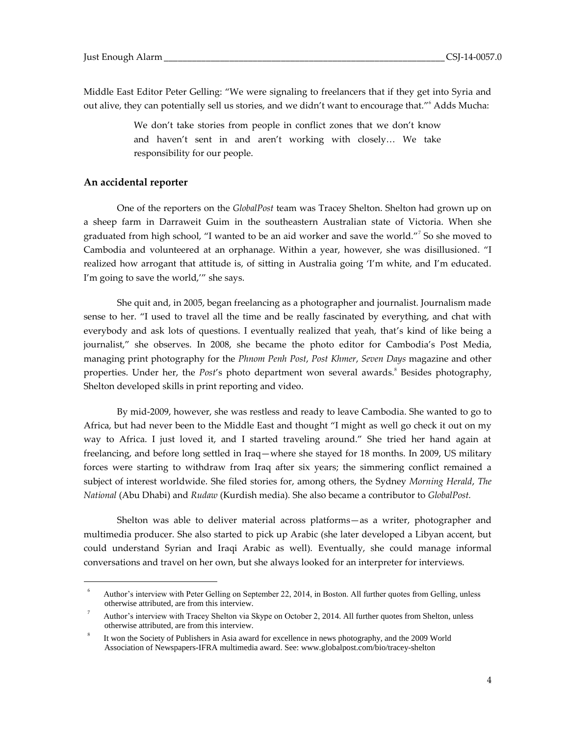Middle East Editor Peter Gelling: "We were signaling to freelancers that if they get into Syria and out alive, they can potentially sell us stories, and we didn't want to encourage that."<sup>6</sup> Adds Mucha:

> We don't take stories from people in conflict zones that we don't know and haven't sent in and aren't working with closely… We take responsibility for our people.

### **An accidental reporter**

 $\overline{a}$ 

One of the reporters on the *GlobalPost* team was Tracey Shelton. Shelton had grown up on a sheep farm in Darraweit Guim in the southeastern Australian state of Victoria. When she graduated from high school, "I wanted to be an aid worker and save the world."<sup>7</sup> So she moved to Cambodia and volunteered at an orphanage. Within a year, however, she was disillusioned. "I realized how arrogant that attitude is, of sitting in Australia going 'I'm white, and I'm educated. I'm going to save the world,'" she says.

She quit and, in 2005, began freelancing as a photographer and journalist. Journalism made sense to her. "I used to travel all the time and be really fascinated by everything, and chat with everybody and ask lots of questions. I eventually realized that yeah, that's kind of like being a journalist," she observes. In 2008, she became the photo editor for Cambodia's Post Media, managing print photography for the *Phnom Penh Post*, *Post Khmer*, *Seven Days* magazine and other properties. Under her, the *Post'*s photo department won several awards.<sup>8</sup> Besides photography, Shelton developed skills in print reporting and video.

By mid-2009, however, she was restless and ready to leave Cambodia. She wanted to go to Africa, but had never been to the Middle East and thought "I might as well go check it out on my way to Africa. I just loved it, and I started traveling around." She tried her hand again at freelancing, and before long settled in Iraq—where she stayed for 18 months. In 2009, US military forces were starting to withdraw from Iraq after six years; the simmering conflict remained a subject of interest worldwide. She filed stories for, among others, the Sydney *Morning Herald*, *The National* (Abu Dhabi) and *Rudaw* (Kurdish media)*.* She also became a contributor to *GlobalPost.*

Shelton was able to deliver material across platforms—as a writer, photographer and multimedia producer. She also started to pick up Arabic (she later developed a Libyan accent, but could understand Syrian and Iraqi Arabic as well). Eventually, she could manage informal conversations and travel on her own, but she always looked for an interpreter for interviews.

<sup>6</sup> Author's interview with Peter Gelling on September 22, 2014, in Boston. All further quotes from Gelling, unless otherwise attributed, are from this interview.

<sup>7</sup> Author's interview with Tracey Shelton via Skype on October 2, 2014. All further quotes from Shelton, unless otherwise attributed, are from this interview.

<sup>8</sup> It won the Society of Publishers in Asia award for excellence in news photography, and the 2009 World Association of Newspapers-IFRA multimedia award. See: www.globalpost.com/bio/tracey-shelton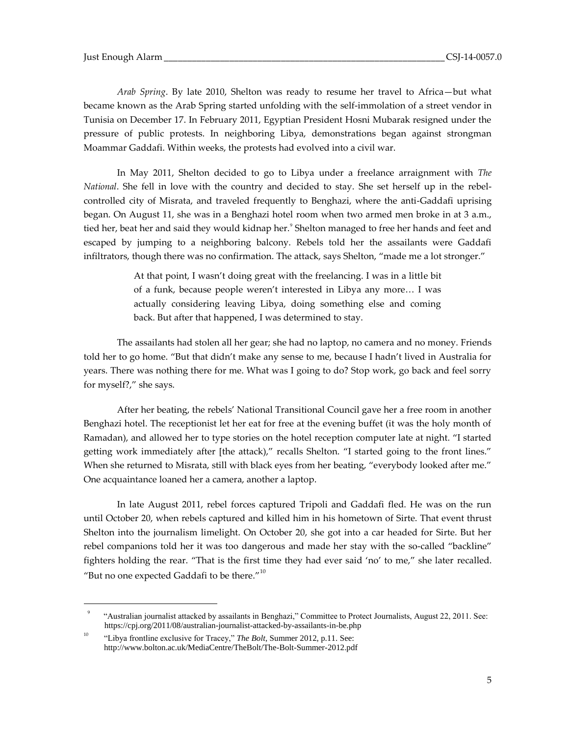*Arab Spring*. By late 2010, Shelton was ready to resume her travel to Africa—but what became known as the Arab Spring started unfolding with the self-immolation of a street vendor in Tunisia on December 17. In February 2011, Egyptian President Hosni Mubarak resigned under the pressure of public protests. In neighboring Libya, demonstrations began against strongman Moammar Gaddafi. Within weeks, the protests had evolved into a civil war.

In May 2011, Shelton decided to go to Libya under a freelance arraignment with *The National*. She fell in love with the country and decided to stay. She set herself up in the rebelcontrolled city of Misrata, and traveled frequently to Benghazi, where the anti-Gaddafi uprising began. On August 11, she was in a Benghazi hotel room when two armed men broke in at 3 a.m., tied her, beat her and said they would kidnap her. $^{\circ}$  Shelton managed to free her hands and feet and escaped by jumping to a neighboring balcony. Rebels told her the assailants were Gaddafi infiltrators, though there was no confirmation. The attack, says Shelton, "made me a lot stronger."

> At that point, I wasn't doing great with the freelancing. I was in a little bit of a funk, because people weren't interested in Libya any more… I was actually considering leaving Libya, doing something else and coming back. But after that happened, I was determined to stay.

The assailants had stolen all her gear; she had no laptop, no camera and no money. Friends told her to go home. "But that didn't make any sense to me, because I hadn't lived in Australia for years. There was nothing there for me. What was I going to do? Stop work, go back and feel sorry for myself?," she says.

After her beating, the rebels' National Transitional Council gave her a free room in another Benghazi hotel. The receptionist let her eat for free at the evening buffet (it was the holy month of Ramadan), and allowed her to type stories on the hotel reception computer late at night. "I started getting work immediately after [the attack)," recalls Shelton. "I started going to the front lines." When she returned to Misrata, still with black eyes from her beating, "everybody looked after me." One acquaintance loaned her a camera, another a laptop.

In late August 2011, rebel forces captured Tripoli and Gaddafi fled. He was on the run until October 20, when rebels captured and killed him in his hometown of Sirte. That event thrust Shelton into the journalism limelight. On October 20, she got into a car headed for Sirte. But her rebel companions told her it was too dangerous and made her stay with the so-called "backline" fighters holding the rear. "That is the first time they had ever said 'no' to me," she later recalled. "But no one expected Gaddafi to be there." $10$ 

<sup>9</sup> "Australian journalist attacked by assailants in Benghazi," Committee to Protect Journalists, August 22, 2011. See: https://cpj.org/2011/08/australian-journalist-attacked-by-assailants-in-be.php

<sup>&</sup>lt;sup>10</sup> "Libya frontline exclusive for Tracey," *The Bolt*, Summer 2012, p.11. See: http://www.bolton.ac.uk/MediaCentre/TheBolt/The-Bolt-Summer-2012.pdf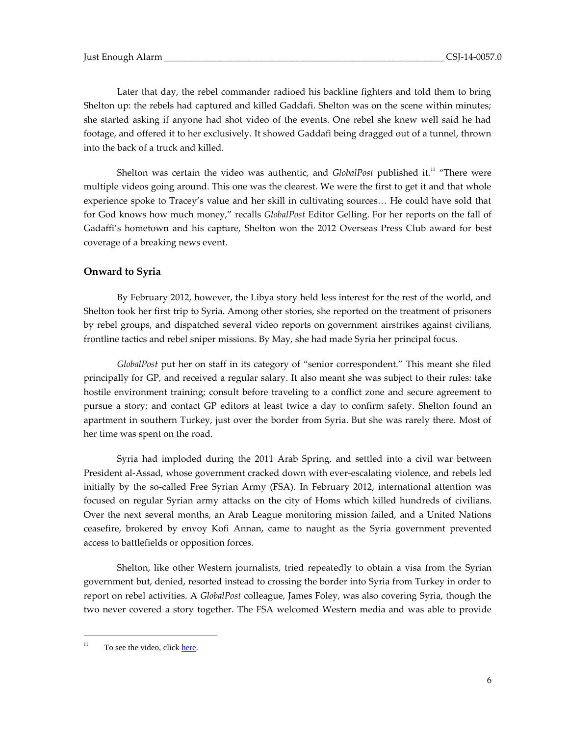Later that day, the rebel commander radioed his backline fighters and told them to bring Shelton up: the rebels had captured and killed Gaddafi. Shelton was on the scene within minutes; she started asking if anyone had shot video of the events. One rebel she knew well said he had footage, and offered it to her exclusively. It showed Gaddafi being dragged out of a tunnel, thrown into the back of a truck and killed.

Shelton was certain the video was authentic, and *GlobalPost* published it.<sup>11</sup> "There were multiple videos going around. This one was the clearest. We were the first to get it and that whole experience spoke to Tracey's value and her skill in cultivating sources… He could have sold that for God knows how much money," recalls *GlobalPost* Editor Gelling. For her reports on the fall of Gadaffi's hometown and his capture, Shelton won the 2012 Overseas Press Club award for best coverage of a breaking news event.

# **Onward to Syria**

By February 2012, however, the Libya story held less interest for the rest of the world, and Shelton took her first trip to Syria. Among other stories, she reported on the treatment of prisoners by rebel groups, and dispatched several video reports on government airstrikes against civilians, frontline tactics and rebel sniper missions. By May, she had made Syria her principal focus.

*GlobalPost* put her on staff in its category of "senior correspondent." This meant she filed principally for GP, and received a regular salary. It also meant she was subject to their rules: take hostile environment training; consult before traveling to a conflict zone and secure agreement to pursue a story; and contact GP editors at least twice a day to confirm safety. Shelton found an apartment in southern Turkey, just over the border from Syria. But she was rarely there. Most of her time was spent on the road.

Syria had imploded during the 2011 Arab Spring, and settled into a civil war between President al-Assad, whose government cracked down with ever-escalating violence, and rebels led initially by the so-called Free Syrian Army (FSA). In February 2012, international attention was focused on regular Syrian army attacks on the city of Homs which killed hundreds of civilians. Over the next several months, an Arab League monitoring mission failed, and a United Nations ceasefire, brokered by envoy Kofi Annan, came to naught as the Syria government prevented access to battlefields or opposition forces.

Shelton, like other Western journalists, tried repeatedly to obtain a visa from the Syrian government but, denied, resorted instead to crossing the border into Syria from Turkey in order to report on rebel activities. A *GlobalPost* colleague, James Foley, was also covering Syria, though the two never covered a story together. The FSA welcomed Western media and was able to provide

 $11$  To see the video, clic[k here.](http://www.globalpost.com/dispatches/globalpost-blogs/the-casbah/gaddafi-dead-video-initial-capture-exclusive)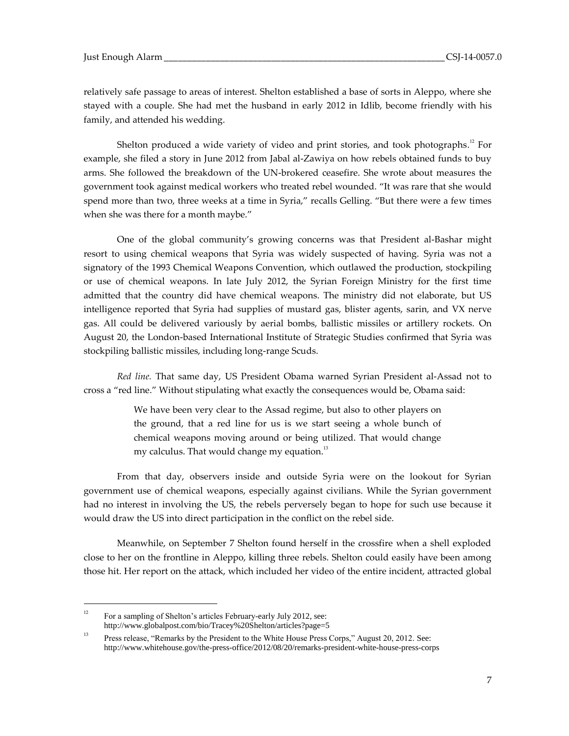relatively safe passage to areas of interest. Shelton established a base of sorts in Aleppo, where she stayed with a couple. She had met the husband in early 2012 in Idlib, become friendly with his family, and attended his wedding.

Shelton produced a wide variety of video and print stories, and took photographs. $^{\scriptscriptstyle{12}}$  For example, she filed a story in June 2012 from Jabal al-Zawiya on how rebels obtained funds to buy arms. She followed the breakdown of the UN-brokered ceasefire. She wrote about measures the government took against medical workers who treated rebel wounded. "It was rare that she would spend more than two, three weeks at a time in Syria," recalls Gelling. "But there were a few times when she was there for a month maybe."

One of the global community's growing concerns was that President al-Bashar might resort to using chemical weapons that Syria was widely suspected of having. Syria was not a signatory of the 1993 Chemical Weapons Convention, which outlawed the production, stockpiling or use of chemical weapons. In late July 2012, the Syrian Foreign Ministry for the first time admitted that the country did have chemical weapons. The ministry did not elaborate, but US intelligence reported that Syria had supplies of mustard gas, blister agents, sarin, and VX nerve gas. All could be delivered variously by aerial bombs, ballistic missiles or artillery rockets. On August 20, the London-based International Institute of Strategic Studies confirmed that Syria was stockpiling ballistic missiles, including long-range Scuds.

*Red line.* That same day, US President Obama warned Syrian President al-Assad not to cross a "red line." Without stipulating what exactly the consequences would be, Obama said:

> We have been very clear to the Assad regime, but also to other players on the ground, that a red line for us is we start seeing a whole bunch of chemical weapons moving around or being utilized. That would change my calculus. That would change my equation.<sup>13</sup>

From that day, observers inside and outside Syria were on the lookout for Syrian government use of chemical weapons, especially against civilians. While the Syrian government had no interest in involving the US, the rebels perversely began to hope for such use because it would draw the US into direct participation in the conflict on the rebel side.

Meanwhile, on September 7 Shelton found herself in the crossfire when a shell exploded close to her on the frontline in Aleppo, killing three rebels. Shelton could easily have been among those hit. Her report on the attack, which included her video of the entire incident, attracted global

<sup>&</sup>lt;sup>12</sup> For a sampling of Shelton's articles February-early July 2012, see: http://www.globalpost.com/bio/Tracey%20Shelton/articles?page=5

<sup>&</sup>lt;sup>13</sup> Press release, "Remarks by the President to the White House Press Corps," August 20, 2012. See: http://www.whitehouse.gov/the-press-office/2012/08/20/remarks-president-white-house-press-corps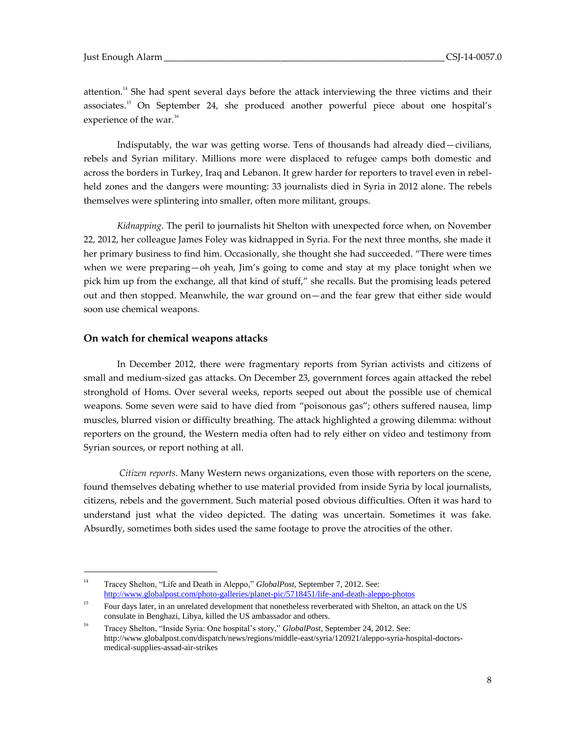attention.<sup>14</sup> She had spent several days before the attack interviewing the three victims and their associates.<sup>15</sup> On September 24, she produced another powerful piece about one hospital's experience of the war.<sup>16</sup>

Indisputably, the war was getting worse. Tens of thousands had already died—civilians, rebels and Syrian military. Millions more were displaced to refugee camps both domestic and across the borders in Turkey, Iraq and Lebanon. It grew harder for reporters to travel even in rebelheld zones and the dangers were mounting: 33 journalists died in Syria in 2012 alone. The rebels themselves were splintering into smaller, often more militant, groups.

*Kidnapping*. The peril to journalists hit Shelton with unexpected force when, on November 22, 2012, her colleague James Foley was kidnapped in Syria. For the next three months, she made it her primary business to find him. Occasionally, she thought she had succeeded. "There were times when we were preparing—oh yeah, Jim's going to come and stay at my place tonight when we pick him up from the exchange, all that kind of stuff," she recalls. But the promising leads petered out and then stopped. Meanwhile, the war ground on—and the fear grew that either side would soon use chemical weapons.

#### **On watch for chemical weapons attacks**

 $\overline{a}$ 

In December 2012, there were fragmentary reports from Syrian activists and citizens of small and medium-sized gas attacks. On December 23, government forces again attacked the rebel stronghold of Homs. Over several weeks, reports seeped out about the possible use of chemical weapons. Some seven were said to have died from "poisonous gas"; others suffered nausea, limp muscles, blurred vision or difficulty breathing. The attack highlighted a growing dilemma: without reporters on the ground, the Western media often had to rely either on video and testimony from Syrian sources, or report nothing at all.

*Citizen reports*. Many Western news organizations, even those with reporters on the scene, found themselves debating whether to use material provided from inside Syria by local journalists, citizens, rebels and the government. Such material posed obvious difficulties. Often it was hard to understand just what the video depicted. The dating was uncertain. Sometimes it was fake. Absurdly, sometimes both sides used the same footage to prove the atrocities of the other.

<sup>14</sup> Tracey Shelton, "Life and Death in Aleppo," *GlobalPost,* September 7, 2012. See: <http://www.globalpost.com/photo-galleries/planet-pic/5718451/life-and-death-aleppo-photos>

<sup>&</sup>lt;sup>15</sup> Four days later, in an unrelated development that nonetheless reverberated with Shelton, an attack on the US consulate in Benghazi, Libya, killed the US ambassador and others.

<sup>16</sup> Tracey Shelton, "Inside Syria: One hospital's story," *GlobalPost*, September 24, 2012. See: http://www.globalpost.com/dispatch/news/regions/middle-east/syria/120921/aleppo-syria-hospital-doctorsmedical-supplies-assad-air-strikes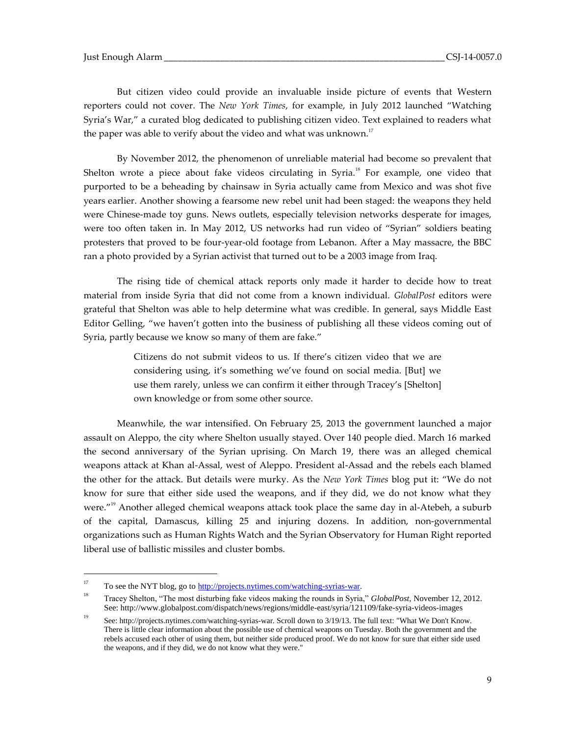But citizen video could provide an invaluable inside picture of events that Western reporters could not cover. The *New York Times*, for example, in July 2012 launched "Watching Syria's War," a curated blog dedicated to publishing citizen video. Text explained to readers what the paper was able to verify about the video and what was unknown. $17$ 

By November 2012, the phenomenon of unreliable material had become so prevalent that Shelton wrote a piece about fake videos circulating in Syria.<sup>18</sup> For example, one video that purported to be a beheading by chainsaw in Syria actually came from Mexico and was shot five years earlier. Another showing a fearsome new rebel unit had been staged: the weapons they held were Chinese-made toy guns. News outlets, especially television networks desperate for images, were too often taken in. In May 2012, US networks had run video of "Syrian" soldiers beating protesters that proved to be four-year-old footage from Lebanon. After a May massacre, the BBC ran a photo provided by a Syrian activist that turned out to be a 2003 image from Iraq.

The rising tide of chemical attack reports only made it harder to decide how to treat material from inside Syria that did not come from a known individual. *GlobalPost* editors were grateful that Shelton was able to help determine what was credible. In general, says Middle East Editor Gelling, "we haven't gotten into the business of publishing all these videos coming out of Syria, partly because we know so many of them are fake."

> Citizens do not submit videos to us. If there's citizen video that we are considering using, it's something we've found on social media. [But] we use them rarely, unless we can confirm it either through Tracey's [Shelton] own knowledge or from some other source.

Meanwhile, the war intensified. On February 25, 2013 the government launched a major assault on Aleppo, the city where Shelton usually stayed. Over 140 people died. March 16 marked the second anniversary of the Syrian uprising. On March 19, there was an alleged chemical weapons attack at Khan al-Assal, west of Aleppo. President al-Assad and the rebels each blamed the other for the attack. But details were murky. As the *New York Times* blog put it: "We do not know for sure that either side used the weapons, and if they did, we do not know what they were."<sup>19</sup> Another alleged chemical weapons attack took place the same day in al-Atebeh, a suburb of the capital, Damascus, killing 25 and injuring dozens. In addition, non-governmental organizations such as Human Rights Watch and the Syrian Observatory for Human Right reported liberal use of ballistic missiles and cluster bombs.

<sup>&</sup>lt;sup>17</sup> To see the NYT blog, go to  $\frac{http://projects.nytimes.com/watching-syrias-war.}$ 

<sup>18</sup> Tracey Shelton, "The most disturbing fake videos making the rounds in Syria," *GlobalPost*, November 12, 2012. See: http://www.globalpost.com/dispatch/news/regions/middle-east/syria/121109/fake-syria-videos-images

<sup>19</sup> See: http://projects.nytimes.com/watching-syrias-war. Scroll down to 3/19/13. The full text: "What We Don't Know. There is little clear information about the possible use of chemical weapons on Tuesday. Both the government and the rebels accused each other of using them, but neither side produced proof. We do not know for sure that either side used the weapons, and if they did, we do not know what they were."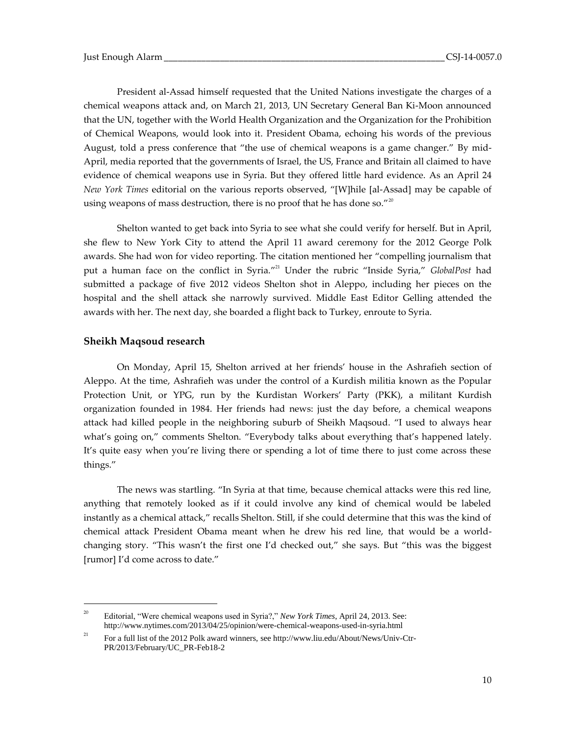President al-Assad himself requested that the United Nations investigate the charges of a chemical weapons attack and, on March 21, 2013, UN Secretary General Ban Ki-Moon announced that the UN, together with the World Health Organization and the Organization for the Prohibition of Chemical Weapons, would look into it. President Obama, echoing his words of the previous August, told a press conference that "the use of chemical weapons is a game changer." By mid-April, media reported that the governments of Israel, the US, France and Britain all claimed to have evidence of chemical weapons use in Syria. But they offered little hard evidence. As an April 24 *New York Times* editorial on the various reports observed, "[W]hile [al-Assad] may be capable of using weapons of mass destruction, there is no proof that he has done so." $^{20}$ 

Shelton wanted to get back into Syria to see what she could verify for herself. But in April, she flew to New York City to attend the April 11 award ceremony for the 2012 George Polk awards. She had won for video reporting. The citation mentioned her "compelling journalism that put a human face on the conflict in Syria." <sup>21</sup> Under the rubric "Inside Syria," *GlobalPost* had submitted a package of five 2012 videos Shelton shot in Aleppo, including her pieces on the hospital and the shell attack she narrowly survived. Middle East Editor Gelling attended the awards with her. The next day, she boarded a flight back to Turkey, enroute to Syria.

#### **Sheikh Maqsoud research**

 $\overline{a}$ 

On Monday, April 15, Shelton arrived at her friends' house in the Ashrafieh section of Aleppo. At the time, Ashrafieh was under the control of a Kurdish militia known as the Popular Protection Unit, or YPG, run by the Kurdistan Workers' Party (PKK), a militant Kurdish organization founded in 1984. Her friends had news: just the day before, a chemical weapons attack had killed people in the neighboring suburb of Sheikh Maqsoud. "I used to always hear what's going on," comments Shelton. "Everybody talks about everything that's happened lately. It's quite easy when you're living there or spending a lot of time there to just come across these things."

The news was startling. "In Syria at that time, because chemical attacks were this red line, anything that remotely looked as if it could involve any kind of chemical would be labeled instantly as a chemical attack," recalls Shelton. Still, if she could determine that this was the kind of chemical attack President Obama meant when he drew his red line, that would be a worldchanging story. "This wasn't the first one I'd checked out," she says. But "this was the biggest [rumor] I'd come across to date."

<sup>&</sup>lt;sup>20</sup> Editorial, "Were chemical weapons used in Syria?," *New York Times*, April 24, 2013. See: http://www.nytimes.com/2013/04/25/opinion/were-chemical-weapons-used-in-syria.html

<sup>&</sup>lt;sup>21</sup> For a full list of the 2012 Polk award winners, see http://www.liu.edu/About/News/Univ-Ctr-PR/2013/February/UC\_PR-Feb18-2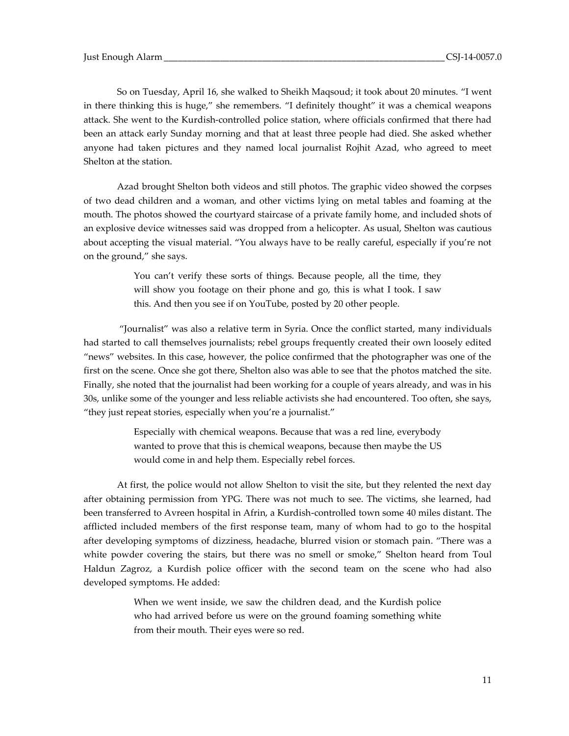So on Tuesday, April 16, she walked to Sheikh Maqsoud; it took about 20 minutes. "I went in there thinking this is huge," she remembers. "I definitely thought" it was a chemical weapons attack. She went to the Kurdish-controlled police station, where officials confirmed that there had been an attack early Sunday morning and that at least three people had died. She asked whether anyone had taken pictures and they named local journalist Rojhit Azad, who agreed to meet Shelton at the station.

Azad brought Shelton both videos and still photos. The graphic video showed the corpses of two dead children and a woman, and other victims lying on metal tables and foaming at the mouth. The photos showed the courtyard staircase of a private family home, and included shots of an explosive device witnesses said was dropped from a helicopter. As usual, Shelton was cautious about accepting the visual material. "You always have to be really careful, especially if you're not on the ground," she says.

> You can't verify these sorts of things. Because people, all the time, they will show you footage on their phone and go, this is what I took. I saw this. And then you see if on YouTube, posted by 20 other people.

"Journalist" was also a relative term in Syria. Once the conflict started, many individuals had started to call themselves journalists; rebel groups frequently created their own loosely edited "news" websites. In this case, however, the police confirmed that the photographer was one of the first on the scene. Once she got there, Shelton also was able to see that the photos matched the site. Finally, she noted that the journalist had been working for a couple of years already, and was in his 30s, unlike some of the younger and less reliable activists she had encountered. Too often, she says, "they just repeat stories, especially when you're a journalist."

> Especially with chemical weapons. Because that was a red line, everybody wanted to prove that this is chemical weapons, because then maybe the US would come in and help them. Especially rebel forces.

At first, the police would not allow Shelton to visit the site, but they relented the next day after obtaining permission from YPG. There was not much to see. The victims, she learned, had been transferred to Avreen hospital in Afrin, a Kurdish-controlled town some 40 miles distant. The afflicted included members of the first response team, many of whom had to go to the hospital after developing symptoms of dizziness, headache, blurred vision or stomach pain. "There was a white powder covering the stairs, but there was no smell or smoke," Shelton heard from Toul Haldun Zagroz, a Kurdish police officer with the second team on the scene who had also developed symptoms. He added:

> When we went inside, we saw the children dead, and the Kurdish police who had arrived before us were on the ground foaming something white from their mouth. Their eyes were so red.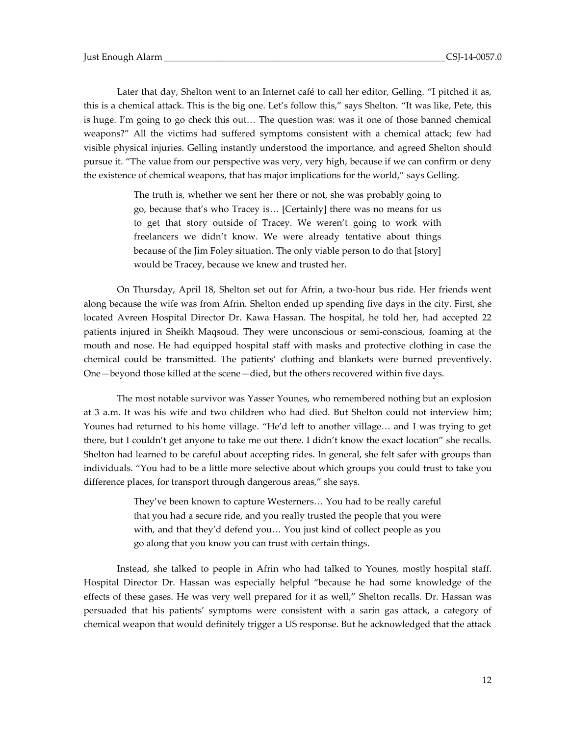Later that day, Shelton went to an Internet café to call her editor, Gelling. "I pitched it as, this is a chemical attack. This is the big one. Let's follow this," says Shelton. "It was like, Pete, this is huge. I'm going to go check this out… The question was: was it one of those banned chemical weapons?" All the victims had suffered symptoms consistent with a chemical attack; few had visible physical injuries. Gelling instantly understood the importance, and agreed Shelton should pursue it. "The value from our perspective was very, very high, because if we can confirm or deny the existence of chemical weapons, that has major implications for the world," says Gelling.

> The truth is, whether we sent her there or not, she was probably going to go, because that's who Tracey is… [Certainly] there was no means for us to get that story outside of Tracey. We weren't going to work with freelancers we didn't know. We were already tentative about things because of the Jim Foley situation. The only viable person to do that [story] would be Tracey, because we knew and trusted her.

On Thursday, April 18, Shelton set out for Afrin, a two-hour bus ride. Her friends went along because the wife was from Afrin. Shelton ended up spending five days in the city. First, she located Avreen Hospital Director Dr. Kawa Hassan. The hospital, he told her, had accepted 22 patients injured in Sheikh Maqsoud. They were unconscious or semi-conscious, foaming at the mouth and nose. He had equipped hospital staff with masks and protective clothing in case the chemical could be transmitted. The patients' clothing and blankets were burned preventively. One—beyond those killed at the scene—died, but the others recovered within five days.

The most notable survivor was Yasser Younes, who remembered nothing but an explosion at 3 a.m. It was his wife and two children who had died. But Shelton could not interview him; Younes had returned to his home village. "He'd left to another village… and I was trying to get there, but I couldn't get anyone to take me out there. I didn't know the exact location" she recalls. Shelton had learned to be careful about accepting rides. In general, she felt safer with groups than individuals. "You had to be a little more selective about which groups you could trust to take you difference places, for transport through dangerous areas," she says.

> They've been known to capture Westerners… You had to be really careful that you had a secure ride, and you really trusted the people that you were with, and that they'd defend you… You just kind of collect people as you go along that you know you can trust with certain things.

Instead, she talked to people in Afrin who had talked to Younes, mostly hospital staff. Hospital Director Dr. Hassan was especially helpful "because he had some knowledge of the effects of these gases. He was very well prepared for it as well," Shelton recalls. Dr. Hassan was persuaded that his patients' symptoms were consistent with a sarin gas attack, a category of chemical weapon that would definitely trigger a US response. But he acknowledged that the attack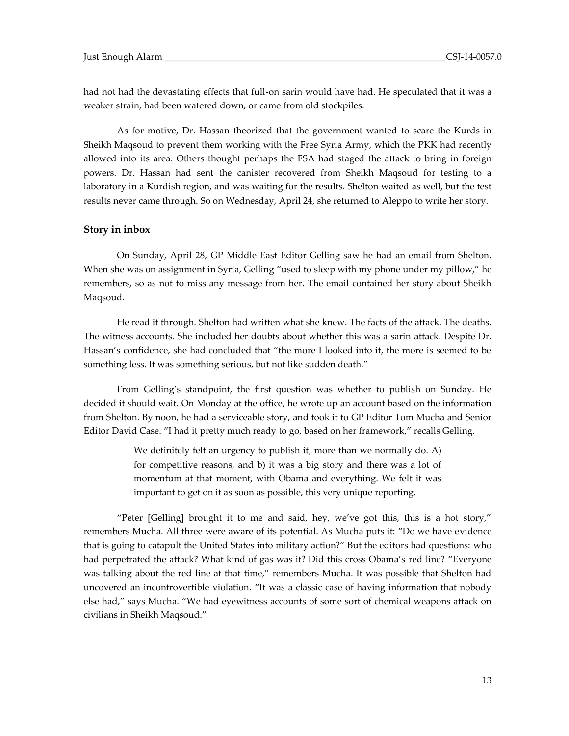had not had the devastating effects that full-on sarin would have had. He speculated that it was a weaker strain, had been watered down, or came from old stockpiles.

As for motive, Dr. Hassan theorized that the government wanted to scare the Kurds in Sheikh Maqsoud to prevent them working with the Free Syria Army, which the PKK had recently allowed into its area. Others thought perhaps the FSA had staged the attack to bring in foreign powers. Dr. Hassan had sent the canister recovered from Sheikh Maqsoud for testing to a laboratory in a Kurdish region, and was waiting for the results. Shelton waited as well, but the test results never came through. So on Wednesday, April 24, she returned to Aleppo to write her story.

## **Story in inbox**

On Sunday, April 28, GP Middle East Editor Gelling saw he had an email from Shelton. When she was on assignment in Syria, Gelling "used to sleep with my phone under my pillow," he remembers, so as not to miss any message from her. The email contained her story about Sheikh Maqsoud.

He read it through. Shelton had written what she knew. The facts of the attack. The deaths. The witness accounts. She included her doubts about whether this was a sarin attack. Despite Dr. Hassan's confidence, she had concluded that "the more I looked into it, the more is seemed to be something less. It was something serious, but not like sudden death."

From Gelling's standpoint, the first question was whether to publish on Sunday. He decided it should wait. On Monday at the office, he wrote up an account based on the information from Shelton. By noon, he had a serviceable story, and took it to GP Editor Tom Mucha and Senior Editor David Case. "I had it pretty much ready to go, based on her framework," recalls Gelling.

> We definitely felt an urgency to publish it, more than we normally do. A) for competitive reasons, and b) it was a big story and there was a lot of momentum at that moment, with Obama and everything. We felt it was important to get on it as soon as possible, this very unique reporting.

"Peter [Gelling] brought it to me and said, hey, we've got this, this is a hot story," remembers Mucha. All three were aware of its potential. As Mucha puts it: "Do we have evidence that is going to catapult the United States into military action?" But the editors had questions: who had perpetrated the attack? What kind of gas was it? Did this cross Obama's red line? "Everyone was talking about the red line at that time," remembers Mucha. It was possible that Shelton had uncovered an incontrovertible violation. "It was a classic case of having information that nobody else had," says Mucha. "We had eyewitness accounts of some sort of chemical weapons attack on civilians in Sheikh Maqsoud."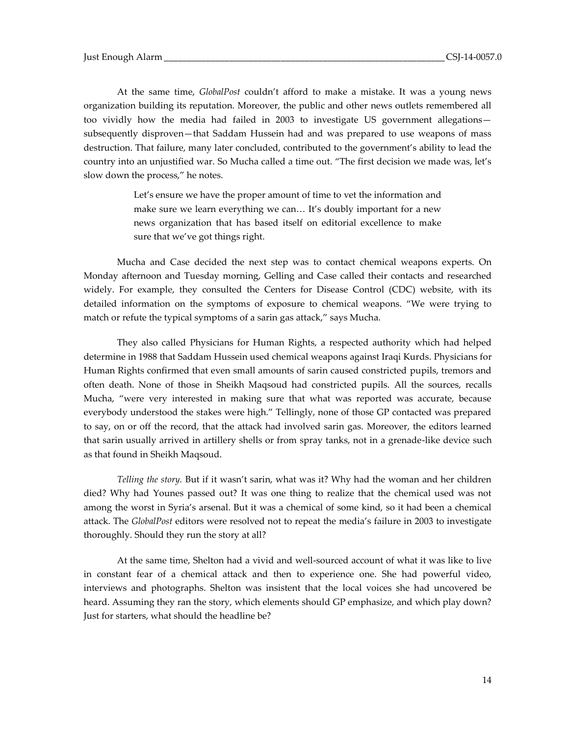At the same time, *GlobalPost* couldn't afford to make a mistake. It was a young news organization building its reputation. Moreover, the public and other news outlets remembered all too vividly how the media had failed in 2003 to investigate US government allegations subsequently disproven—that Saddam Hussein had and was prepared to use weapons of mass destruction. That failure, many later concluded, contributed to the government's ability to lead the country into an unjustified war. So Mucha called a time out. "The first decision we made was, let's slow down the process," he notes.

> Let's ensure we have the proper amount of time to vet the information and make sure we learn everything we can… It's doubly important for a new news organization that has based itself on editorial excellence to make sure that we've got things right.

Mucha and Case decided the next step was to contact chemical weapons experts. On Monday afternoon and Tuesday morning, Gelling and Case called their contacts and researched widely. For example, they consulted the Centers for Disease Control (CDC) website, with its detailed information on the symptoms of exposure to chemical weapons. "We were trying to match or refute the typical symptoms of a sarin gas attack," says Mucha.

They also called Physicians for Human Rights, a respected authority which had helped determine in 1988 that Saddam Hussein used chemical weapons against Iraqi Kurds. Physicians for Human Rights confirmed that even small amounts of sarin caused constricted pupils, tremors and often death. None of those in Sheikh Maqsoud had constricted pupils. All the sources, recalls Mucha, "were very interested in making sure that what was reported was accurate, because everybody understood the stakes were high." Tellingly, none of those GP contacted was prepared to say, on or off the record, that the attack had involved sarin gas. Moreover, the editors learned that sarin usually arrived in artillery shells or from spray tanks, not in a grenade-like device such as that found in Sheikh Maqsoud.

*Telling the story.* But if it wasn't sarin, what was it? Why had the woman and her children died? Why had Younes passed out? It was one thing to realize that the chemical used was not among the worst in Syria's arsenal. But it was a chemical of some kind, so it had been a chemical attack. The *GlobalPost* editors were resolved not to repeat the media's failure in 2003 to investigate thoroughly. Should they run the story at all?

At the same time, Shelton had a vivid and well-sourced account of what it was like to live in constant fear of a chemical attack and then to experience one. She had powerful video, interviews and photographs. Shelton was insistent that the local voices she had uncovered be heard. Assuming they ran the story, which elements should GP emphasize, and which play down? Just for starters, what should the headline be?